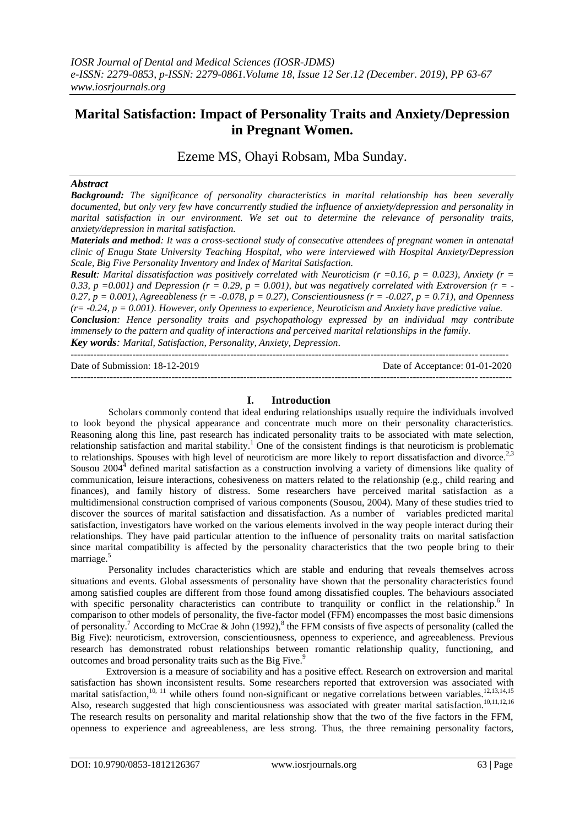# **Marital Satisfaction: Impact of Personality Traits and Anxiety/Depression in Pregnant Women.**

Ezeme MS, Ohayi Robsam, Mba Sunday.

### *Abstract*

*Background: The significance of personality characteristics in marital relationship has been severally documented, but only very few have concurrently studied the influence of anxiety/depression and personality in marital satisfaction in our environment. We set out to determine the relevance of personality traits, anxiety/depression in marital satisfaction.* 

*Materials and method: It was a cross-sectional study of consecutive attendees of pregnant women in antenatal clinic of Enugu State University Teaching Hospital, who were interviewed with Hospital Anxiety/Depression Scale, Big Five Personality Inventory and Index of Marital Satisfaction.* 

*Result: Marital dissatisfaction was positively correlated with Neuroticism* $(r = 0.16, p = 0.023)$ **, Anxiety**  $(r = 0.16, p = 0.02)$ 0.33, p =0.001) and Depression  $(r = 0.29, p = 0.001)$ , but was negatively correlated with Extroversion  $(r = -1.001)$ *0.27, p = 0.001), Agreeableness (r = -0.078, p = 0.27), Conscientiousness (r = -0.027, p = 0.71), and Openness (r= -0.24, p = 0.001). However, only Openness to experience, Neuroticism and Anxiety have predictive value. Conclusion: Hence personality traits and psychopathology expressed by an individual may contribute* 

*immensely to the pattern and quality of interactions and perceived marital relationships in the family. Key words: Marital, Satisfaction, Personality, Anxiety, Depression.*

--------------------------------------------------------------------------------------------------------------------------------------

| Date of Submission: 18-12-2019 | Date of Acceptance: $01-01-2020$ |
|--------------------------------|----------------------------------|
|                                |                                  |

#### **I. Introduction**

Scholars commonly contend that ideal enduring relationships usually require the individuals involved to look beyond the physical appearance and concentrate much more on their personality characteristics. Reasoning along this line, past research has indicated personality traits to be associated with mate selection, relationship satisfaction and marital stability.<sup>1</sup> One of the consistent findings is that neuroticism is problematic to relationships. Spouses with high level of neuroticism are more likely to report dissatisfaction and divorce.<sup>2,3</sup> Sousou  $2004<sup>4</sup>$  defined marital satisfaction as a construction involving a variety of dimensions like quality of communication, leisure interactions, cohesiveness on matters related to the relationship (e.g., child rearing and finances), and family history of distress. Some researchers have perceived marital satisfaction as a multidimensional construction comprised of various components (Sousou, 2004). Many of these studies tried to discover the sources of marital satisfaction and dissatisfaction. As a number of variables predicted marital satisfaction, investigators have worked on the various elements involved in the way people interact during their relationships. They have paid particular attention to the influence of personality traits on marital satisfaction since marital compatibility is affected by the personality characteristics that the two people bring to their marriage. 5

Personality includes characteristics which are stable and enduring that reveals themselves across situations and events. Global assessments of personality have shown that the personality characteristics found among satisfied couples are different from those found among dissatisfied couples. The behaviours associated with specific personality characteristics can contribute to tranquility or conflict in the relationship.<sup>6</sup> In comparison to other models of personality, the five-factor model (FFM) encompasses the most basic dimensions of personality.<sup>7</sup> According to McCrae & John (1992),<sup>8</sup> the FFM consists of five aspects of personality (called the Big Five): neuroticism, extroversion, conscientiousness, openness to experience, and agreeableness. Previous research has demonstrated robust relationships between romantic relationship quality, functioning, and outcomes and broad personality traits such as the Big Five.<sup>9</sup>

Extroversion is a measure of sociability and has a positive effect. Research on extroversion and marital satisfaction has shown inconsistent results. Some researchers reported that extroversion was associated with marital satisfaction,  $^{10, 11}$  while others found non-significant or negative correlations between variables.  $^{12, 13, 14, 15}$ Also, research suggested that high conscientiousness was associated with greater marital satisfaction.<sup>10,11,12,16</sup> The research results on personality and marital relationship show that the two of the five factors in the FFM, openness to experience and agreeableness, are less strong. Thus, the three remaining personality factors,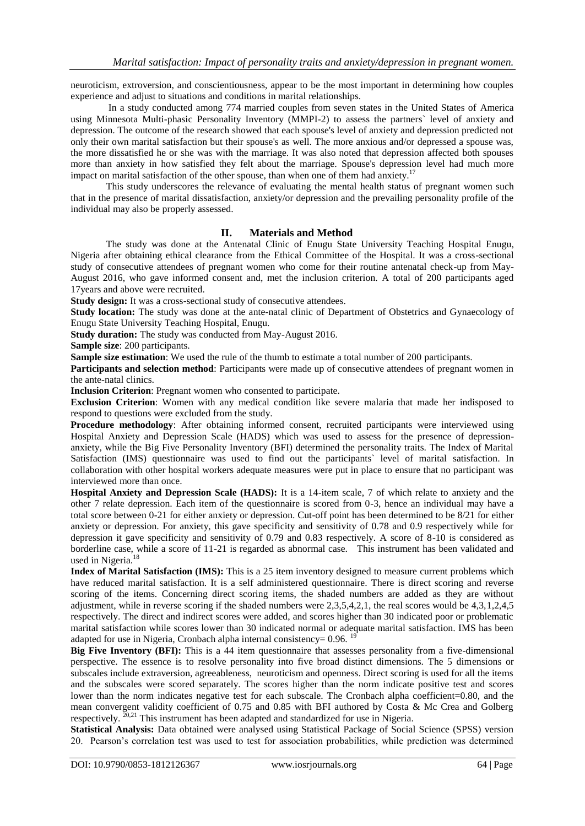neuroticism, extroversion, and conscientiousness, appear to be the most important in determining how couples experience and adjust to situations and conditions in marital relationships.

In a study conducted among 774 married couples from seven states in the United States of America using Minnesota Multi-phasic Personality Inventory (MMPI-2) to assess the partners` level of anxiety and depression. The outcome of the research showed that each spouse's level of anxiety and depression predicted not only their own marital satisfaction but their spouse's as well. The more anxious and/or depressed a spouse was, the more dissatisfied he or she was with the marriage. It was also noted that depression affected both spouses more than anxiety in how satisfied they felt about the marriage. Spouse's depression level had much more impact on marital satisfaction of the other spouse, than when one of them had anxiety.<sup>17</sup>

This study underscores the relevance of evaluating the mental health status of pregnant women such that in the presence of marital dissatisfaction, anxiety/or depression and the prevailing personality profile of the individual may also be properly assessed.

# **II. Materials and Method**

The study was done at the Antenatal Clinic of Enugu State University Teaching Hospital Enugu, Nigeria after obtaining ethical clearance from the Ethical Committee of the Hospital. It was a cross-sectional study of consecutive attendees of pregnant women who come for their routine antenatal check-up from May-August 2016, who gave informed consent and, met the inclusion criterion. A total of 200 participants aged 17years and above were recruited.

**Study design:** It was a cross-sectional study of consecutive attendees.

**Study location:** The study was done at the ante-natal clinic of Department of Obstetrics and Gynaecology of Enugu State University Teaching Hospital, Enugu.

**Study duration:** The study was conducted from May-August 2016.

**Sample size**: 200 participants.

**Sample size estimation**: We used the rule of the thumb to estimate a total number of 200 participants.

**Participants and selection method**: Participants were made up of consecutive attendees of pregnant women in the ante-natal clinics.

**Inclusion Criterion**: Pregnant women who consented to participate.

**Exclusion Criterion**: Women with any medical condition like severe malaria that made her indisposed to respond to questions were excluded from the study.

**Procedure methodology**: After obtaining informed consent, recruited participants were interviewed using Hospital Anxiety and Depression Scale (HADS) which was used to assess for the presence of depressionanxiety, while the Big Five Personality Inventory (BFI) determined the personality traits. The Index of Marital Satisfaction (IMS) questionnaire was used to find out the participants` level of marital satisfaction. In collaboration with other hospital workers adequate measures were put in place to ensure that no participant was interviewed more than once.

**Hospital Anxiety and Depression Scale (HADS):** It is a 14-item scale, 7 of which relate to anxiety and the other 7 relate depression. Each item of the questionnaire is scored from 0-3, hence an individual may have a total score between 0-21 for either anxiety or depression. Cut-off point has been determined to be 8/21 for either anxiety or depression. For anxiety, this gave specificity and sensitivity of 0.78 and 0.9 respectively while for depression it gave specificity and sensitivity of 0.79 and 0.83 respectively. A score of 8-10 is considered as borderline case, while a score of 11-21 is regarded as abnormal case. This instrument has been validated and used in Nigeria.<sup>18</sup>

**Index of Marital Satisfaction (IMS):** This is a 25 item inventory designed to measure current problems which have reduced marital satisfaction. It is a self administered questionnaire. There is direct scoring and reverse scoring of the items. Concerning direct scoring items, the shaded numbers are added as they are without adjustment, while in reverse scoring if the shaded numbers were 2,3,5,4,2,1, the real scores would be 4,3,1,2,4,5 respectively. The direct and indirect scores were added, and scores higher than 30 indicated poor or problematic marital satisfaction while scores lower than 30 indicated normal or adequate marital satisfaction. IMS has been adapted for use in Nigeria, Cronbach alpha internal consistency= 0.96.

**Big Five Inventory (BFI):** This is a 44 item questionnaire that assesses personality from a five-dimensional perspective. The essence is to resolve personality into five broad distinct dimensions. The 5 dimensions or subscales include extraversion, agreeableness, neuroticism and openness. Direct scoring is used for all the items and the subscales were scored separately. The scores higher than the norm indicate positive test and scores lower than the norm indicates negative test for each subscale. The Cronbach alpha coefficient=0.80, and the mean convergent validity coefficient of 0.75 and 0.85 with BFI authored by Costa & Mc Crea and Golberg respectively.  $\frac{z_{0,21}}{z_{0,21}}$  This instrument has been adapted and standardized for use in Nigeria.

**Statistical Analysis:** Data obtained were analysed using Statistical Package of Social Science (SPSS) version 20. Pearson's correlation test was used to test for association probabilities, while prediction was determined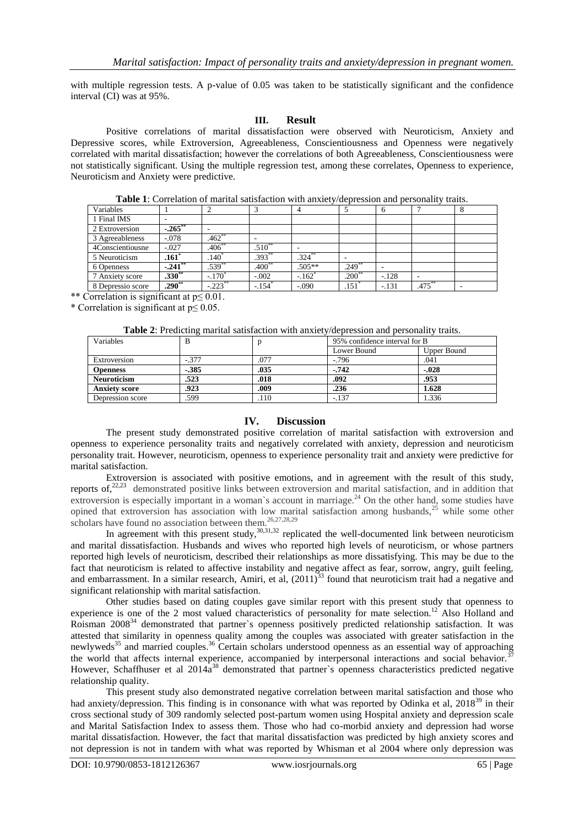with multiple regression tests. A p-value of 0.05 was taken to be statistically significant and the confidence interval (CI) was at 95%.

#### **III. Result**

Positive correlations of marital dissatisfaction were observed with Neuroticism, Anxiety and Depressive scores, while Extroversion, Agreeableness, Conscientiousness and Openness were negatively correlated with marital dissatisfaction; however the correlations of both Agreeableness, Conscientiousness were not statistically significant. Using the multiple regression test, among these correlates, Openness to experience, Neuroticism and Anxiety were predictive.

**Table 1**: Correlation of marital satisfaction with anxiety/depression and personality traits.

| Variables         |                       |            |                      |                     |                     | 6       |                          | ŏ |
|-------------------|-----------------------|------------|----------------------|---------------------|---------------------|---------|--------------------------|---|
| 1 Final IMS       |                       |            |                      |                     |                     |         |                          |   |
| 2 Extroversion    | $-265$                | ۰          |                      |                     |                     |         |                          |   |
| 3 Agreeableness   | $-.078$               | $.462**$   |                      |                     |                     |         |                          |   |
| 4Conscientiousne  | $-.027$               | $406^{**}$ | $.510**$             | -                   |                     |         |                          |   |
| 5 Neuroticism     | $\overline{.16}1^*$   | $.140*$    | .393                 | $.324***$           |                     |         |                          |   |
| 6 Openness        | $-.241$ <sup>**</sup> | $.539**$   | $.400**$             | .505**              | $.249**$            |         |                          |   |
| 7 Anxiety score   | $.330**$              | $-170^*$   | $-.002$              | $-162$ <sup>*</sup> | $.200**$            | $-.128$ | $\overline{\phantom{a}}$ |   |
| 8 Depressio score | $290^{**}$            | $-.223$ ** | $-.154$ <sup>*</sup> | $-.090$             | $.151$ <sup>*</sup> | $-.131$ | $.475***$                |   |

\*\* Correlation is significant at p≤ 0.01.

\* Correlation is significant at p≤ 0.05.

**Table 2**: Predicting marital satisfaction with anxiety/depression and personality traits.

| Variables            | ີ<br>В   |      | 95% confidence interval for B |             |  |
|----------------------|----------|------|-------------------------------|-------------|--|
|                      |          |      | Lower Bound                   | Upper Bound |  |
| Extroversion         | $-.377$  | 077  | $-0.796$                      | .041        |  |
| <b>Openness</b>      | $-0.385$ | .035 | $-0.742$                      | $-.028$     |  |
| <b>Neuroticism</b>   | .523     | .018 | .092                          | .953        |  |
| <b>Anxiety score</b> | .923     | .009 | .236                          | 1.628       |  |
| Depression score     | .599     | .110 | $-.137$                       | 1.336       |  |

## **IV. Discussion**

The present study demonstrated positive correlation of marital satisfaction with extroversion and openness to experience personality traits and negatively correlated with anxiety, depression and neuroticism personality trait. However, neuroticism, openness to experience personality trait and anxiety were predictive for marital satisfaction.

Extroversion is associated with positive emotions, and in agreement with the result of this study, reports of, $22,23$  demonstrated positive links between extroversion and marital satisfaction, and in addition that extroversion is especially important in a woman's account in marriage. $^{24}$  On the other hand, some studies have opined that extroversion has association with low marital satisfaction among husbands,<sup>25</sup> while some other scholars have found no association between them.<sup>26,27,28,29</sup>

In agreement with this present study,<sup>30,31,32</sup> replicated the well-documented link between neuroticism and marital dissatisfaction. Husbands and wives who reported high levels of neuroticism, or whose partners reported high levels of neuroticism, described their relationships as more dissatisfying. This may be due to the fact that neuroticism is related to affective instability and negative affect as fear, sorrow, angry, guilt feeling, and embarrassment. In a similar research, Amiri, et al,  $(2011)^{33}$  found that neuroticism trait had a negative and significant relationship with marital satisfaction.

Other studies based on dating couples gave similar report with this present study that openness to experience is one of the 2 most valued characteristics of personality for mate selection.<sup>12</sup> Also Holland and Roisman 2008<sup>34</sup> demonstrated that partner's openness positively predicted relationship satisfaction. It was attested that similarity in openness quality among the couples was associated with greater satisfaction in the newlyweds<sup>35</sup> and married couples.<sup>36</sup> Certain scholars understood openness as an essential way of approaching the world that affects internal experience, accompanied by interpersonal interactions and social behavior.<sup>37</sup> However, Schaffhuser et al  $2014a^{38}$  demonstrated that partner's openness characteristics predicted negative relationship quality.

This present study also demonstrated negative correlation between marital satisfaction and those who had anxiety/depression. This finding is in consonance with what was reported by Odinka et al, 2018<sup>39</sup> in their cross sectional study of 309 randomly selected post-partum women using Hospital anxiety and depression scale and Marital Satisfaction Index to assess them. Those who had co-morbid anxiety and depression had worse marital dissatisfaction. However, the fact that marital dissatisfaction was predicted by high anxiety scores and not depression is not in tandem with what was reported by Whisman et al 2004 where only depression was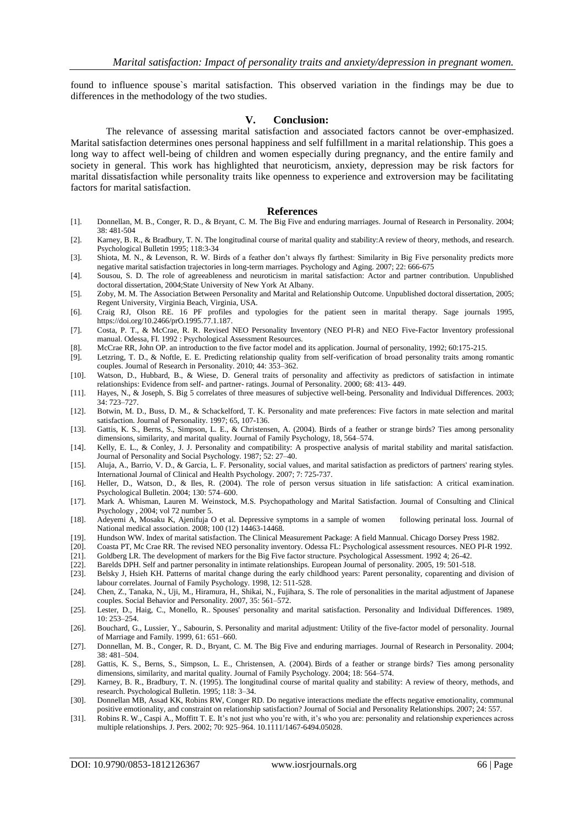found to influence spouse`s marital satisfaction. This observed variation in the findings may be due to differences in the methodology of the two studies.

#### **V. Conclusion:**

The relevance of assessing marital satisfaction and associated factors cannot be over-emphasized. Marital satisfaction determines ones personal happiness and self fulfillment in a marital relationship. This goes a long way to affect well-being of children and women especially during pregnancy, and the entire family and society in general. This work has highlighted that neuroticism, anxiety, depression may be risk factors for marital dissatisfaction while personality traits like openness to experience and extroversion may be facilitating factors for marital satisfaction.

#### **References**

- [1]. Donnellan, M. B., Conger, R. D., & Bryant, C. M. The Big Five and enduring marriages. Journal of Research in Personality. 2004; 38: 481-504
- [2]. Karney, B. R., & Bradbury, T. N. The longitudinal course of marital quality and stability:A review of theory, methods, and research. Psychological Bulletin 1995; 118:3-34
- [3]. Shiota, M. N., & Levenson, R. W. Birds of a feather don't always fly farthest: Similarity in Big Five personality predicts more negative marital satisfaction trajectories in long-term marriages. Psychology and Aging. 2007; 22: 666-675
- [4]. Sousou, S. D. The role of agreeableness and neuroticism in marital satisfaction: Actor and partner contribution. Unpublished doctoral dissertation, 2004;State University of New York At Albany.
- [5]. Zoby, M. M. The Association Between Personality and Marital and Relationship Outcome. Unpublished doctoral dissertation, 2005; Regent University, Virginia Beach, Virginia, USA.
- [6]. Craig RJ, Olson RE. 16 PF profiles and typologies for the patient seen in marital therapy. Sage journals 1995, [https://doi.org/10.2466/prO.1995.77.1.187.](https://doi.org/10.2466/prO.1995.77.1.187)
- [7]. Costa, P. T., & McCrae, R. R. Revised NEO Personality Inventory (NEO PI-R) and NEO Five-Factor Inventory professional manual. Odessa, FI. 1992 : Psychological Assessment Resources.
- [8]. McCrae RR, John OP. an introduction to the five factor model and its application. Journal of personality, 1992; 60:175-215.
- [9]. Letzring, T. D., & Noftle, E. E. Predicting relationship quality from self-verification of broad personality traits among romantic couples. Journal of Research in Personality. 2010; 44: 353–362.
- [10]. Watson, D., Hubbard, B., & Wiese, D. General traits of personality and affectivity as predictors of satisfaction in intimate relationships: Evidence from self- and partner- ratings. Journal of Personality. 2000; 68: 413- 449.
- [11]. Hayes, N., & Joseph, S. Big 5 correlates of three measures of subjective well-being. Personality and Individual Differences. 2003; 34: 723–727.
- [12]. Botwin, M. D., Buss, D. M., & Schackelford, T. K. Personality and mate preferences: Five factors in mate selection and marital satisfaction. Journal of Personality. 1997; 65, 107-136.
- [13]. Gattis, K. S., Berns, S., Simpson, L. E., & Christensen, A. (2004). Birds of a feather or strange birds? Ties among personality dimensions, similarity, and marital quality. Journal of Family Psychology, 18, 564–574.
- [14]. Kelly, E. L., & Conley, J. J. Personality and compatibility: A prospective analysis of marital stability and marital satisfaction. Journal of Personality and Social Psychology. 1987; 52: 27–40.
- [15]. Aluja, A., Barrio, V. D., & Garcia, L. F. Personality, social values, and marital satisfaction as predictors of partners' rearing styles. International Journal of Clinical and Health Psychology. 2007; 7: 725-737.
- [16]. Heller, D., Watson, D., & Iles, R. (2004). The role of person versus situation in life satisfaction: A critical examination. Psychological Bulletin. 2004; 130: 574–600.
- [17]. Mark A. Whisman, Lauren M. Weinstock, M.S. Psychopathology and Marital Satisfaction. Journal of Consulting and Clinical Psychology , 2004; vol 72 number 5.
- [18]. Adeyemi A, Mosaku K, Ajenifuja O et al. Depressive symptoms in a sample of women following perinatal loss. Journal of National medical association. 2008; 100 (12) 14463-14468.
- [19]. Hundson WW. Index of marital satisfaction. The Clinical Measurement Package: A field Mannual. Chicago Dorsey Press 1982.
- [20]. Coasta PT, Mc Crae RR. The revised NEO personality inventory. Odessa FL: Psychological assessment resources. NEO PI-R 1992.
- [21]. Goldberg LR. The development of markers for the Big Five factor structure. Psychological Assessment. 1992 4; 26-42.
- [22]. Barelds DPH. Self and partner personality in intimate relationships. European Journal of personality. 2005, 19: 501-518.
- [23]. Belsky J, Hsieh KH. Patterns of marital change during the early childhood years: Parent personality, coparenting and division of labour correlates. Journal of Family Psychology. 1998, 12: 511-528.
- [24]. Chen, Z., Tanaka, N., Uji, M., Hiramura, H., Shikai, N., Fujihara, S. The role of personalities in the marital adjustment of Japanese couples. Social Behavior and Personality. 2007, 35: 561–572.
- [25]. Lester, D., Haig, C., Monello, R.. Spouses' personality and marital satisfaction. Personality and Individual Differences. 1989, 10: 253–254.
- [26]. Bouchard, G., Lussier, Y., Sabourin, S. Personality and marital adjustment: Utility of the five-factor model of personality. Journal of Marriage and Family. 1999, 61: 651–660.
- [27]. Donnellan, M. B., Conger, R. D., Bryant, C. M. The Big Five and enduring marriages. Journal of Research in Personality. 2004; 38: 481–504.
- [28]. Gattis, K. S., Berns, S., Simpson, L. E., Christensen, A. (2004). Birds of a feather or strange birds? Ties among personality dimensions, similarity, and marital quality. Journal of Family Psychology. 2004; 18: 564–574.
- [29]. Karney, B. R., Bradbury, T. N. (1995). The longitudinal course of marital quality and stability: A review of theory, methods, and research. Psychological Bulletin. 1995; 118: 3–34.
- [30]. Donnellan MB, Assad KK, Robins RW, Conger RD. Do negative interactions mediate the effects negative emotionality, communal positive emotionality, and constraint on relationship satisfaction? Journal of Social and Personality Relationships. 2007; 24: 557.
- [31]. Robins R. W., Caspi A., Moffitt T. E. It's not just who you're with, it's who you are: personality and relationship experiences across multiple relationships. J. Pers. 2002; 70: 925–964. 10.1111/1467-6494.05028.